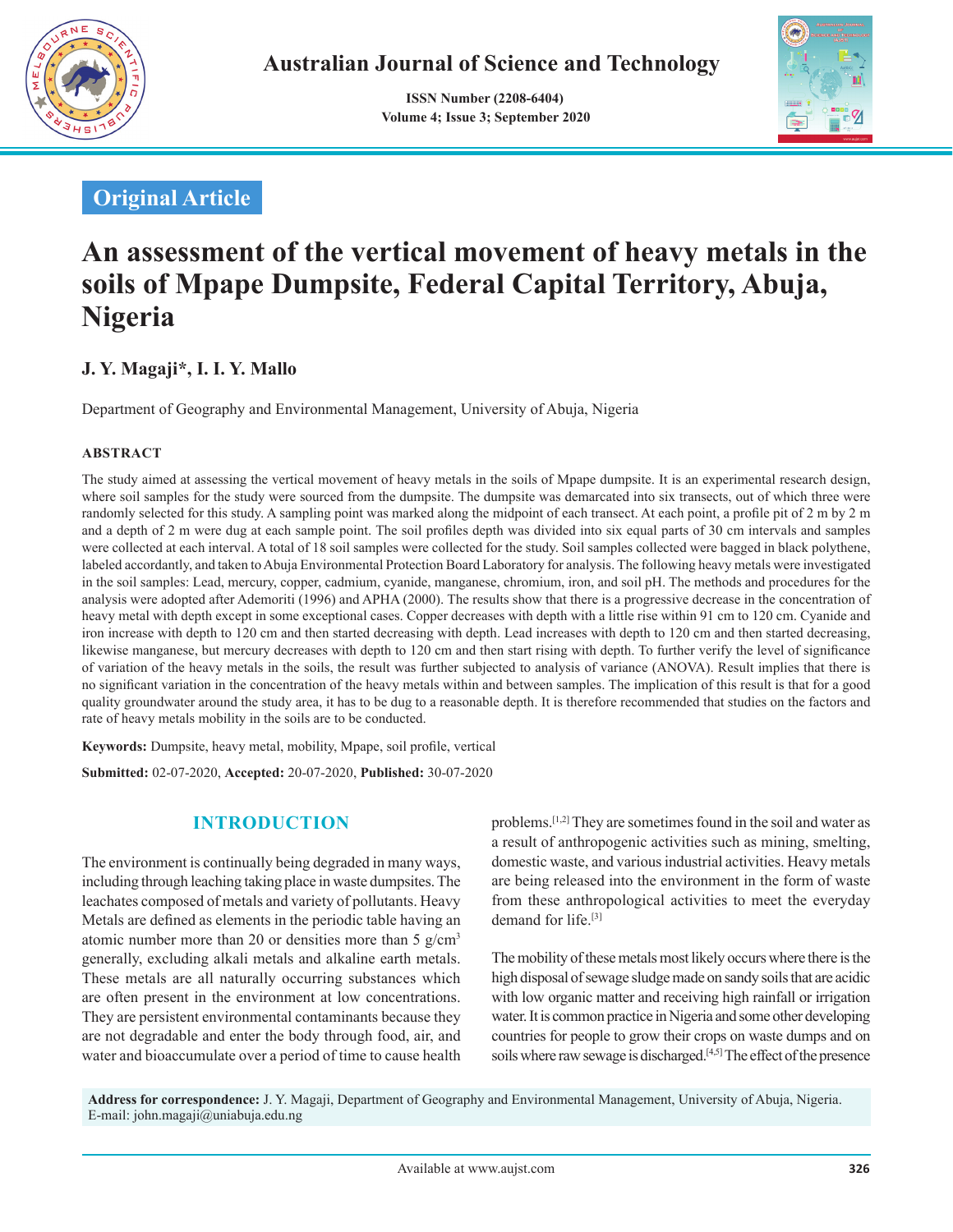

 **ISSN Number (2208-6404) Volume 4; Issue 3; September 2020**



## **Original Article**

# **An assessment of the vertical movement of heavy metals in the soils of Mpape Dumpsite, Federal Capital Territory, Abuja, Nigeria**

## **J. Y. Magaji\*, I. I. Y. Mallo**

Department of Geography and Environmental Management, University of Abuja, Nigeria

#### **ABSTRACT**

The study aimed at assessing the vertical movement of heavy metals in the soils of Mpape dumpsite. It is an experimental research design, where soil samples for the study were sourced from the dumpsite. The dumpsite was demarcated into six transects, out of which three were randomly selected for this study. A sampling point was marked along the midpoint of each transect. At each point, a profile pit of 2 m by 2 m and a depth of 2 m were dug at each sample point. The soil profiles depth was divided into six equal parts of 30 cm intervals and samples were collected at each interval. A total of 18 soil samples were collected for the study. Soil samples collected were bagged in black polythene, labeled accordantly, and taken to Abuja Environmental Protection Board Laboratory for analysis. The following heavy metals were investigated in the soil samples: Lead, mercury, copper, cadmium, cyanide, manganese, chromium, iron, and soil pH. The methods and procedures for the analysis were adopted after Ademoriti (1996) and APHA (2000). The results show that there is a progressive decrease in the concentration of heavy metal with depth except in some exceptional cases. Copper decreases with depth with a little rise within 91 cm to 120 cm. Cyanide and iron increase with depth to 120 cm and then started decreasing with depth. Lead increases with depth to 120 cm and then started decreasing, likewise manganese, but mercury decreases with depth to 120 cm and then start rising with depth. To further verify the level of significance of variation of the heavy metals in the soils, the result was further subjected to analysis of variance (ANOVA). Result implies that there is no significant variation in the concentration of the heavy metals within and between samples. The implication of this result is that for a good quality groundwater around the study area, it has to be dug to a reasonable depth. It is therefore recommended that studies on the factors and rate of heavy metals mobility in the soils are to be conducted.

**Keywords:** Dumpsite, heavy metal, mobility, Mpape, soil profile, vertical **Submitted:** 02-07-2020, **Accepted:** 20-07-2020, **Published:** 30-07-2020

## **INTRODUCTION**

The environment is continually being degraded in many ways, including through leaching taking place in waste dumpsites. The leachates composed of metals and variety of pollutants. Heavy Metals are defined as elements in the periodic table having an atomic number more than 20 or densities more than 5  $g/cm<sup>3</sup>$ generally, excluding alkali metals and alkaline earth metals. These metals are all naturally occurring substances which are often present in the environment at low concentrations. They are persistent environmental contaminants because they are not degradable and enter the body through food, air, and water and bioaccumulate over a period of time to cause health problems.[1,2] They are sometimes found in the soil and water as a result of anthropogenic activities such as mining, smelting, domestic waste, and various industrial activities. Heavy metals are being released into the environment in the form of waste from these anthropological activities to meet the everyday demand for life<sup>[3]</sup>

The mobility of these metals most likely occurs where there is the high disposal of sewage sludge made on sandy soils that are acidic with low organic matter and receiving high rainfall or irrigation water. It is common practice in Nigeria and some other developing countries for people to grow their crops on waste dumps and on soils where raw sewage is discharged.[4,5] The effect of the presence

**Address for correspondence:** J. Y. Magaji, Department of Geography and Environmental Management, University of Abuja, Nigeria. E-mail: john.magaji@uniabuja.edu.ng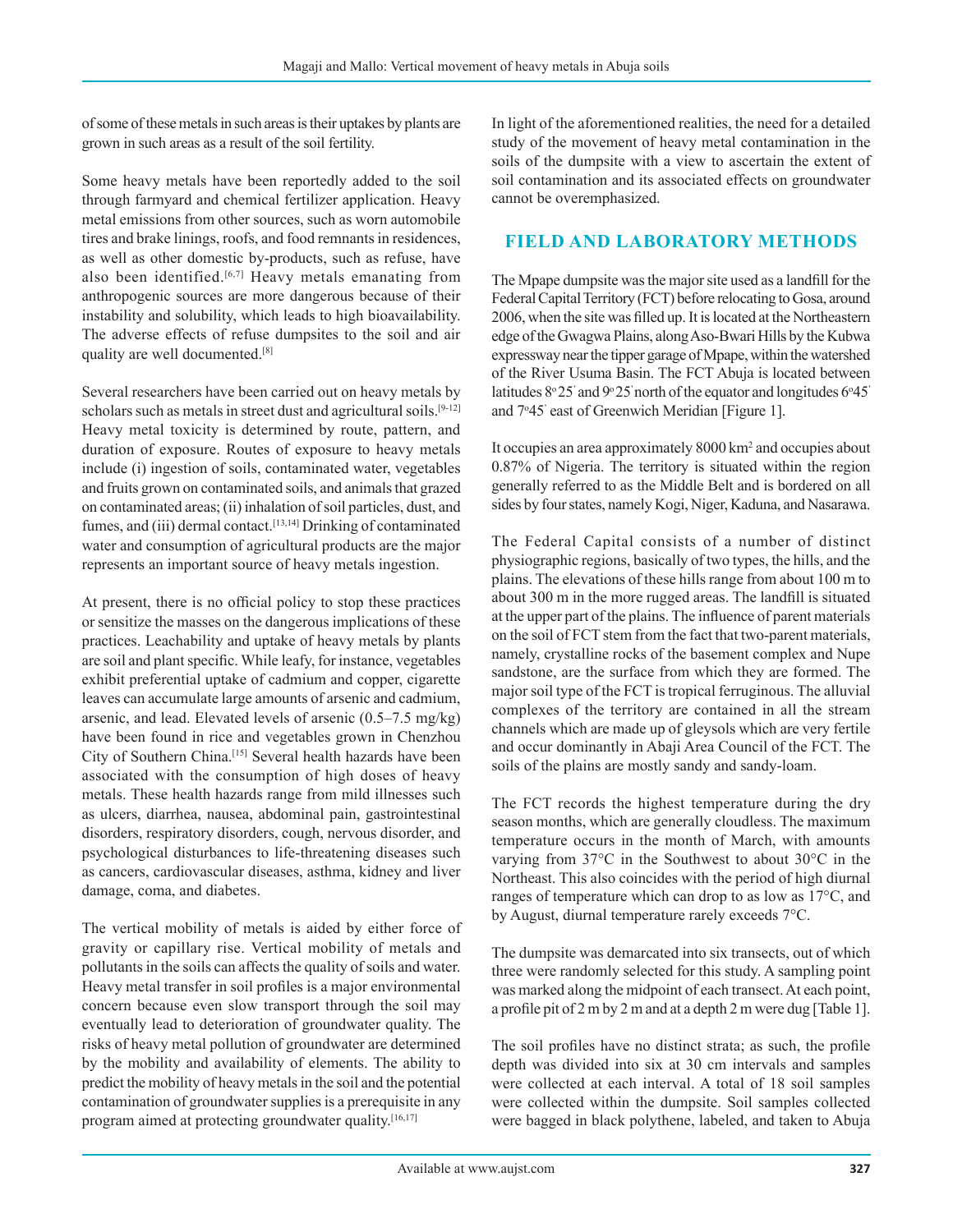of some of these metals in such areas is their uptakes by plants are grown in such areas as a result of the soil fertility.

Some heavy metals have been reportedly added to the soil through farmyard and chemical fertilizer application. Heavy metal emissions from other sources, such as worn automobile tires and brake linings, roofs, and food remnants in residences, as well as other domestic by-products, such as refuse, have also been identified.<sup>[6,7]</sup> Heavy metals emanating from anthropogenic sources are more dangerous because of their instability and solubility, which leads to high bioavailability. The adverse effects of refuse dumpsites to the soil and air quality are well documented.[8]

Several researchers have been carried out on heavy metals by scholars such as metals in street dust and agricultural soils.<sup>[9-12]</sup> Heavy metal toxicity is determined by route, pattern, and duration of exposure. Routes of exposure to heavy metals include (i) ingestion of soils, contaminated water, vegetables and fruits grown on contaminated soils, and animals that grazed on contaminated areas; (ii) inhalation of soil particles, dust, and fumes, and (iii) dermal contact.<sup>[13,14]</sup> Drinking of contaminated water and consumption of agricultural products are the major represents an important source of heavy metals ingestion.

At present, there is no official policy to stop these practices or sensitize the masses on the dangerous implications of these practices. Leachability and uptake of heavy metals by plants are soil and plant specific. While leafy, for instance, vegetables exhibit preferential uptake of cadmium and copper, cigarette leaves can accumulate large amounts of arsenic and cadmium, arsenic, and lead. Elevated levels of arsenic (0.5–7.5 mg/kg) have been found in rice and vegetables grown in Chenzhou City of Southern China.[15] Several health hazards have been associated with the consumption of high doses of heavy metals. These health hazards range from mild illnesses such as ulcers, diarrhea, nausea, abdominal pain, gastrointestinal disorders, respiratory disorders, cough, nervous disorder, and psychological disturbances to life-threatening diseases such as cancers, cardiovascular diseases, asthma, kidney and liver damage, coma, and diabetes.

The vertical mobility of metals is aided by either force of gravity or capillary rise. Vertical mobility of metals and pollutants in the soils can affects the quality of soils and water. Heavy metal transfer in soil profiles is a major environmental concern because even slow transport through the soil may eventually lead to deterioration of groundwater quality. The risks of heavy metal pollution of groundwater are determined by the mobility and availability of elements. The ability to predict the mobility of heavy metals in the soil and the potential contamination of groundwater supplies is a prerequisite in any program aimed at protecting groundwater quality.<sup>[16,17]</sup>

In light of the aforementioned realities, the need for a detailed study of the movement of heavy metal contamination in the soils of the dumpsite with a view to ascertain the extent of soil contamination and its associated effects on groundwater cannot be overemphasized.

### **FIELD AND LABORATORY METHODS**

The Mpape dumpsite was the major site used as a landfill for the Federal Capital Territory (FCT) before relocating to Gosa, around 2006, when the site was filled up. It is located at the Northeastern edge of the Gwagwa Plains, along Aso-Bwari Hills by the Kubwa expressway near the tipper garage of Mpape, within the watershed of the River Usuma Basin. The FCT Abuja is located between latitudes  $8^{\circ}25'$  and  $9^{\circ}25'$  north of the equator and longitudes  $6^{\circ}45'$ and 7°45' east of Greenwich Meridian [Figure 1].

It occupies an area approximately 8000 km<sup>2</sup> and occupies about 0.87% of Nigeria. The territory is situated within the region generally referred to as the Middle Belt and is bordered on all sides by four states, namely Kogi, Niger, Kaduna, and Nasarawa.

The Federal Capital consists of a number of distinct physiographic regions, basically of two types, the hills, and the plains. The elevations of these hills range from about 100 m to about 300 m in the more rugged areas. The landfill is situated at the upper part of the plains. The influence of parent materials on the soil of FCT stem from the fact that two-parent materials, namely, crystalline rocks of the basement complex and Nupe sandstone, are the surface from which they are formed. The major soil type of the FCT is tropical ferruginous. The alluvial complexes of the territory are contained in all the stream channels which are made up of gleysols which are very fertile and occur dominantly in Abaji Area Council of the FCT. The soils of the plains are mostly sandy and sandy-loam.

The FCT records the highest temperature during the dry season months, which are generally cloudless. The maximum temperature occurs in the month of March, with amounts varying from 37°C in the Southwest to about 30°C in the Northeast. This also coincides with the period of high diurnal ranges of temperature which can drop to as low as 17°C, and by August, diurnal temperature rarely exceeds 7°C.

The dumpsite was demarcated into six transects, out of which three were randomly selected for this study. A sampling point was marked along the midpoint of each transect. At each point, a profile pit of 2 m by 2 m and at a depth 2 m were dug [Table 1].

The soil profiles have no distinct strata; as such, the profile depth was divided into six at 30 cm intervals and samples were collected at each interval. A total of 18 soil samples were collected within the dumpsite. Soil samples collected were bagged in black polythene, labeled, and taken to Abuja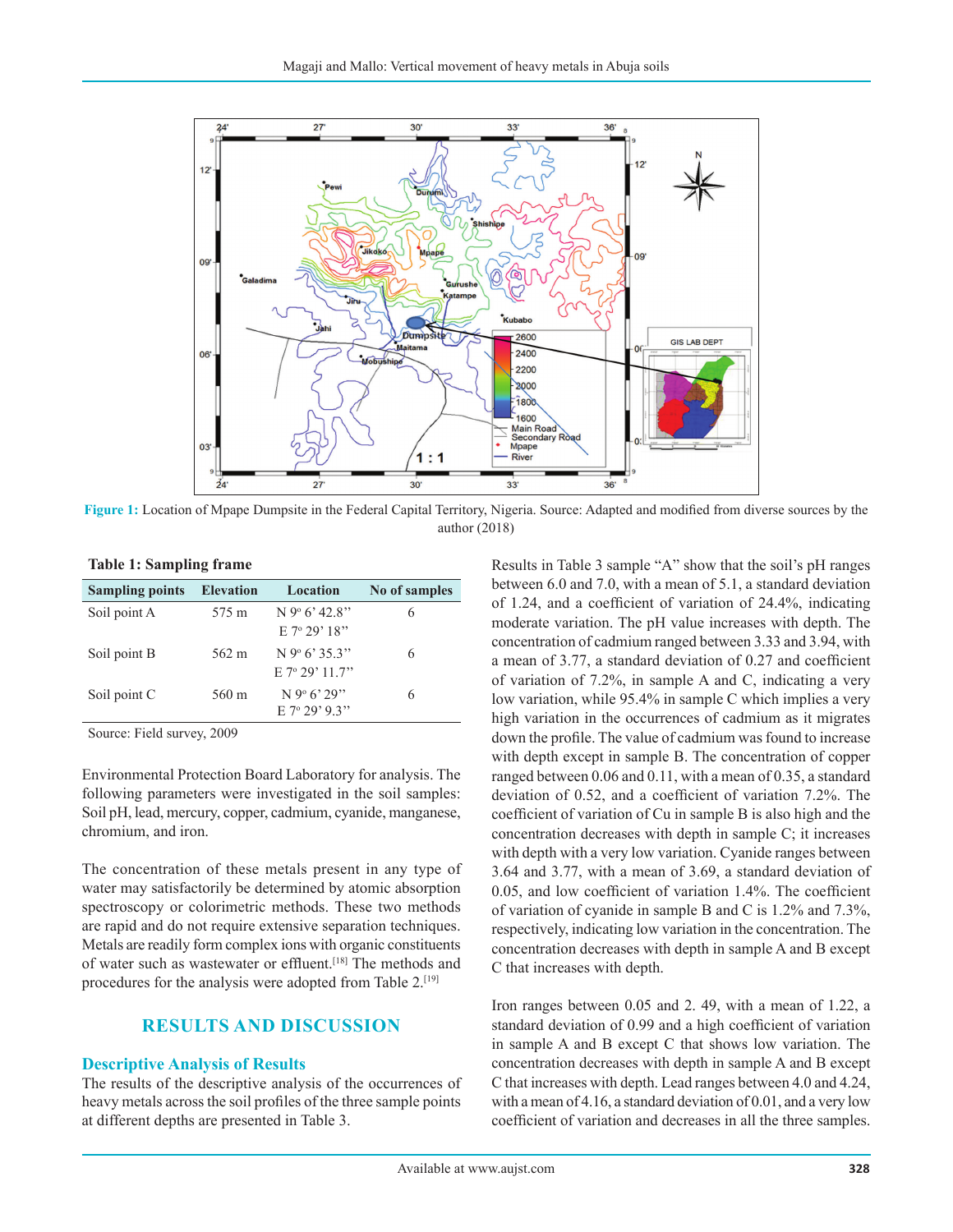

**Figure 1:** Location of Mpape Dumpsite in the Federal Capital Territory, Nigeria. Source: Adapted and modified from diverse sources by the author (2018)

| <b>Sampling points</b> | <b>Elevation</b> | Location                    | No of samples |
|------------------------|------------------|-----------------------------|---------------|
| Soil point A           | 575 m            | $N$ 9° 6' 42.8"             | 6             |
|                        |                  | $E$ 7 <sup>o</sup> 29' 18"  |               |
| Soil point B           | 562 m            | $N$ 9 <sup>o</sup> 6' 35.3" | 6             |
|                        |                  | $E$ 7° 29' 11 7"            |               |
| Soil point C           | 560 m            | $N$ 9 <sup>o</sup> 6' 29"   | 6             |
|                        |                  | $E$ 7 <sup>o</sup> 29' 9 3" |               |

Source: Field survey, 2009

Environmental Protection Board Laboratory for analysis. The following parameters were investigated in the soil samples: Soil pH, lead, mercury, copper, cadmium, cyanide, manganese, chromium, and iron.

The concentration of these metals present in any type of water may satisfactorily be determined by atomic absorption spectroscopy or colorimetric methods. These two methods are rapid and do not require extensive separation techniques. Metals are readily form complex ions with organic constituents of water such as wastewater or effluent.[18] The methods and procedures for the analysis were adopted from Table 2.<sup>[19]</sup>

#### **RESULTS AND DISCUSSION**

#### **Descriptive Analysis of Results**

The results of the descriptive analysis of the occurrences of heavy metals across the soil profiles of the three sample points at different depths are presented in Table 3.

Results in Table 3 sample "A" show that the soil's pH ranges between 6.0 and 7.0, with a mean of 5.1, a standard deviation of 1.24, and a coefficient of variation of 24.4%, indicating moderate variation. The pH value increases with depth. The concentration of cadmium ranged between 3.33 and 3.94, with a mean of 3.77, a standard deviation of 0.27 and coefficient of variation of 7.2%, in sample A and C, indicating a very low variation, while 95.4% in sample C which implies a very high variation in the occurrences of cadmium as it migrates down the profile. The value of cadmium was found to increase with depth except in sample B. The concentration of copper ranged between 0.06 and 0.11, with a mean of 0.35, a standard deviation of 0.52, and a coefficient of variation 7.2%. The coefficient of variation of Cu in sample B is also high and the concentration decreases with depth in sample C; it increases with depth with a very low variation. Cyanide ranges between 3.64 and 3.77, with a mean of 3.69, a standard deviation of 0.05, and low coefficient of variation 1.4%. The coefficient of variation of cyanide in sample B and C is 1.2% and 7.3%, respectively, indicating low variation in the concentration. The concentration decreases with depth in sample A and B except C that increases with depth.

Iron ranges between 0.05 and 2. 49, with a mean of 1.22, a standard deviation of 0.99 and a high coefficient of variation in sample A and B except C that shows low variation. The concentration decreases with depth in sample A and B except C that increases with depth. Lead ranges between 4.0 and 4.24, with a mean of 4.16, a standard deviation of 0.01, and a very low coefficient of variation and decreases in all the three samples.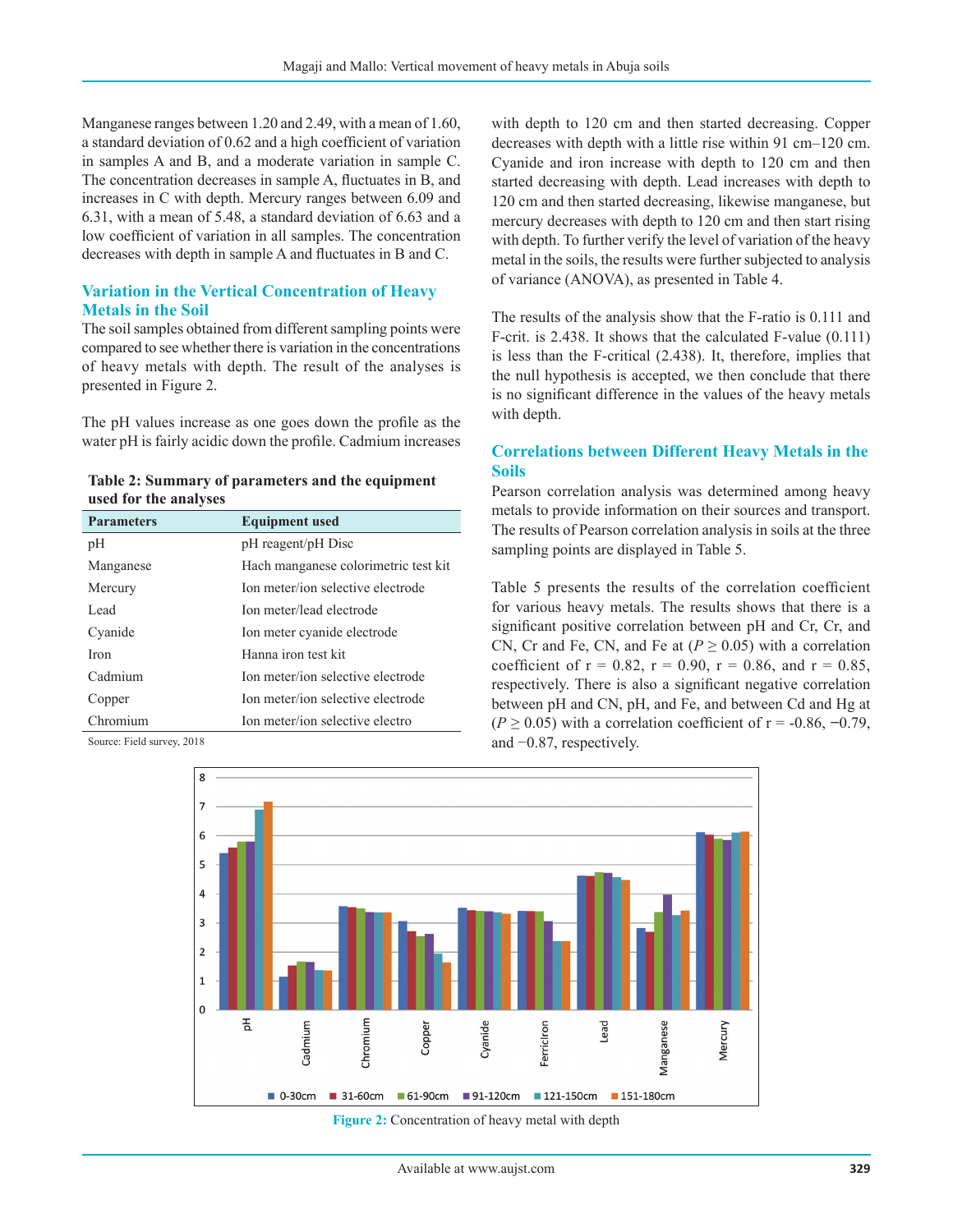Manganese ranges between 1.20 and 2.49, with a mean of 1.60, a standard deviation of 0.62 and a high coefficient of variation in samples A and B, and a moderate variation in sample C. The concentration decreases in sample A, fluctuates in B, and increases in C with depth. Mercury ranges between 6.09 and 6.31, with a mean of 5.48, a standard deviation of 6.63 and a low coefficient of variation in all samples. The concentration decreases with depth in sample A and fluctuates in B and C.

#### **Variation in the Vertical Concentration of Heavy Metals in the Soil**

The soil samples obtained from different sampling points were compared to see whether there is variation in the concentrations of heavy metals with depth. The result of the analyses is presented in Figure 2.

The pH values increase as one goes down the profile as the water pH is fairly acidic down the profile. Cadmium increases

| Table 2: Summary of parameters and the equipment |
|--------------------------------------------------|
| used for the analyses                            |

| <b>Parameters</b> | <b>Equipment used</b>                |
|-------------------|--------------------------------------|
| pH                | pH reagent/pH Disc                   |
| Manganese         | Hach manganese colorimetric test kit |
| Mercury           | Ion meter/ion selective electrode    |
| Lead.             | Ion meter/lead electrode             |
| Cyanide           | Ion meter cyanide electrode          |
| <b>Iron</b>       | Hanna iron test kit                  |
| Cadmium           | Ion meter/ion selective electrode    |
| Copper            | Ion meter/ion selective electrode    |
| Chromium          | Ion meter/ion selective electro      |

Source: Field survey, 2018

with depth to 120 cm and then started decreasing. Copper decreases with depth with a little rise within 91 cm–120 cm. Cyanide and iron increase with depth to 120 cm and then started decreasing with depth. Lead increases with depth to 120 cm and then started decreasing, likewise manganese, but mercury decreases with depth to 120 cm and then start rising with depth. To further verify the level of variation of the heavy metal in the soils, the results were further subjected to analysis of variance (ANOVA), as presented in Table 4.

The results of the analysis show that the F-ratio is 0.111 and F-crit. is 2.438. It shows that the calculated F-value (0.111) is less than the F-critical (2.438). It, therefore, implies that the null hypothesis is accepted, we then conclude that there is no significant difference in the values of the heavy metals with depth.

#### **Correlations between Different Heavy Metals in the Soils**

Pearson correlation analysis was determined among heavy metals to provide information on their sources and transport. The results of Pearson correlation analysis in soils at the three sampling points are displayed in Table 5.

Table 5 presents the results of the correlation coefficient for various heavy metals. The results shows that there is a significant positive correlation between pH and Cr, Cr, and CN, Cr and Fe, CN, and Fe at  $(P \ge 0.05)$  with a correlation coefficient of  $r = 0.82$ ,  $r = 0.90$ ,  $r = 0.86$ , and  $r = 0.85$ , respectively. There is also a significant negative correlation between pH and CN, pH, and Fe, and between Cd and Hg at (*P* ≥ 0.05) with a correlation coefficient of r = -0.86, **−**0.79, and −0.87, respectively.



**Figure 2:** Concentration of heavy metal with depth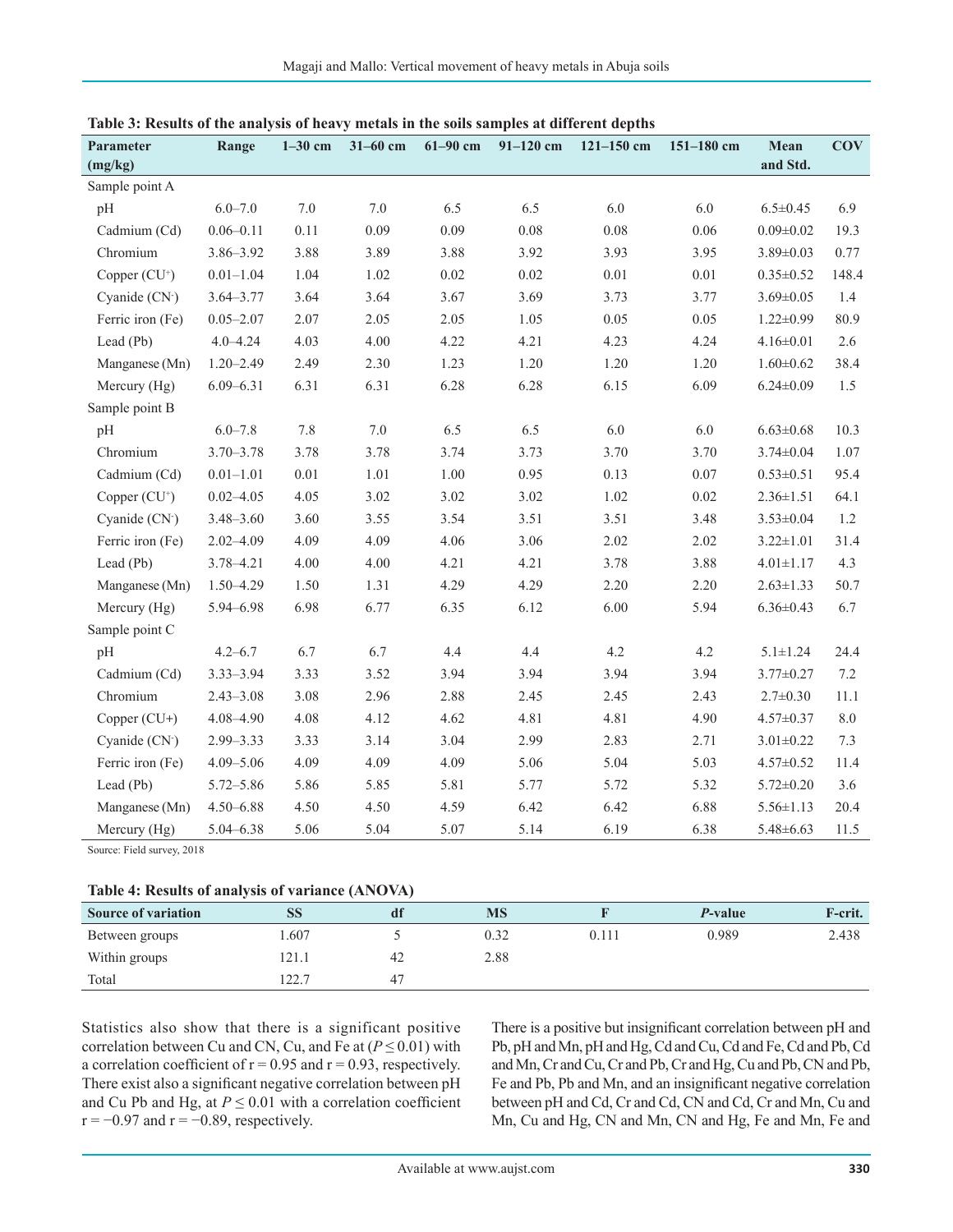| Parameter<br>(mg/kg) | Range         | $1-30$ cm | $31 - 60$ cm | $61 - 90$ cm | 91-120 cm | $121 - 150$ cm | $151 - 180$ cm | Mean<br>and Std. | <b>COV</b> |
|----------------------|---------------|-----------|--------------|--------------|-----------|----------------|----------------|------------------|------------|
| Sample point A       |               |           |              |              |           |                |                |                  |            |
|                      | $6.0 - 7.0$   | $7.0\,$   | $7.0\,$      | 6.5          | 6.5       | 6.0            | 6.0            | $6.5 \pm 0.45$   | 6.9        |
| pH                   |               |           |              |              |           |                |                |                  |            |
| Cadmium (Cd)         | $0.06 - 0.11$ | 0.11      | 0.09         | 0.09         | 0.08      | 0.08           | 0.06           | $0.09 \pm 0.02$  | 19.3       |
| Chromium             | 3.86-3.92     | 3.88      | 3.89         | 3.88         | 3.92      | 3.93           | 3.95           | $3.89 \pm 0.03$  | 0.77       |
| Copper $(CU^+)$      | $0.01 - 1.04$ | 1.04      | 1.02         | 0.02         | 0.02      | 0.01           | 0.01           | $0.35 \pm 0.52$  | 148.4      |
| Cyanide (CN-)        | $3.64 - 3.77$ | 3.64      | 3.64         | 3.67         | 3.69      | 3.73           | 3.77           | $3.69 \pm 0.05$  | 1.4        |
| Ferric iron (Fe)     | $0.05 - 2.07$ | 2.07      | 2.05         | 2.05         | 1.05      | 0.05           | 0.05           | $1.22 \pm 0.99$  | 80.9       |
| Lead (Pb)            | $4.0 - 4.24$  | 4.03      | 4.00         | 4.22         | 4.21      | 4.23           | 4.24           | $4.16 \pm 0.01$  | 2.6        |
| Manganese (Mn)       | $1.20 - 2.49$ | 2.49      | 2.30         | 1.23         | 1.20      | 1.20           | 1.20           | $1.60 \pm 0.62$  | 38.4       |
| Mercury (Hg)         | $6.09 - 6.31$ | 6.31      | 6.31         | 6.28         | 6.28      | 6.15           | 6.09           | $6.24 \pm 0.09$  | 1.5        |
| Sample point B       |               |           |              |              |           |                |                |                  |            |
| pH                   | $6.0 - 7.8$   | 7.8       | 7.0          | 6.5          | 6.5       | 6.0            | 6.0            | $6.63 \pm 0.68$  | 10.3       |
| Chromium             | $3.70 - 3.78$ | 3.78      | 3.78         | 3.74         | 3.73      | 3.70           | 3.70           | $3.74 \pm 0.04$  | 1.07       |
| Cadmium (Cd)         | $0.01 - 1.01$ | $0.01\,$  | 1.01         | 1.00         | 0.95      | 0.13           | 0.07           | $0.53 \pm 0.51$  | 95.4       |
| Copper $(CU^+)$      | $0.02 - 4.05$ | 4.05      | 3.02         | 3.02         | 3.02      | 1.02           | 0.02           | $2.36 \pm 1.51$  | 64.1       |
| Cyanide (CN·)        | $3.48 - 3.60$ | 3.60      | 3.55         | 3.54         | 3.51      | 3.51           | 3.48           | $3.53 \pm 0.04$  | 1.2        |
| Ferric iron (Fe)     | $2.02 - 4.09$ | 4.09      | 4.09         | 4.06         | 3.06      | 2.02           | 2.02           | $3.22 \pm 1.01$  | 31.4       |
| Lead (Pb)            | 3.78-4.21     | 4.00      | 4.00         | 4.21         | 4.21      | 3.78           | 3.88           | $4.01 \pm 1.17$  | 4.3        |
| Manganese (Mn)       | 1.50-4.29     | 1.50      | 1.31         | 4.29         | 4.29      | 2.20           | 2.20           | $2.63 \pm 1.33$  | 50.7       |
| Mercury (Hg)         | 5.94-6.98     | 6.98      | 6.77         | 6.35         | 6.12      | 6.00           | 5.94           | $6.36 \pm 0.43$  | 6.7        |
| Sample point C       |               |           |              |              |           |                |                |                  |            |
| pH                   | $4.2 - 6.7$   | 6.7       | 6.7          | 4.4          | 4.4       | 4.2            | 4.2            | $5.1 \pm 1.24$   | 24.4       |
| Cadmium (Cd)         | $3.33 - 3.94$ | 3.33      | 3.52         | 3.94         | 3.94      | 3.94           | 3.94           | $3.77 \pm 0.27$  | $7.2\,$    |
| Chromium             | $2.43 - 3.08$ | 3.08      | 2.96         | 2.88         | 2.45      | 2.45           | 2.43           | $2.7 \pm 0.30$   | 11.1       |
| Copper (CU+)         | 4.08-4.90     | 4.08      | 4.12         | 4.62         | 4.81      | 4.81           | 4.90           | $4.57 \pm 0.37$  | 8.0        |
| Cyanide (CN-)        | $2.99 - 3.33$ | 3.33      | 3.14         | 3.04         | 2.99      | 2.83           | 2.71           | $3.01 \pm 0.22$  | 7.3        |
| Ferric iron (Fe)     | $4.09 - 5.06$ | 4.09      | 4.09         | 4.09         | 5.06      | 5.04           | 5.03           | $4.57 \pm 0.52$  | 11.4       |
| Lead (Pb)            | $5.72 - 5.86$ | 5.86      | 5.85         | 5.81         | 5.77      | 5.72           | 5.32           | $5.72 \pm 0.20$  | 3.6        |
| Manganese (Mn)       | $4.50 - 6.88$ | 4.50      | 4.50         | 4.59         | 6.42      | 6.42           | 6.88           | $5.56 \pm 1.13$  | 20.4       |
| Mercury (Hg)         | $5.04 - 6.38$ | 5.06      | 5.04         | 5.07         | 5.14      | 6.19           | 6.38           | $5.48\pm 6.63$   | 11.5       |

**Table 3: Results of the analysis of heavy metals in the soils samples at different depths**

Source: Field survey, 2018

#### **Table 4: Results of analysis of variance (ANOVA)**

| <b>Source of variation</b> | SS    | αn | <b>MS</b> |       | <i>P</i> -value | F-crit. |
|----------------------------|-------|----|-----------|-------|-----------------|---------|
| Between groups             | .607  |    | 0.32      | 0.111 | 0.989           | 2.438   |
| Within groups              | 121.1 | 42 | 2.88      |       |                 |         |
| Total                      | 122.7 | 47 |           |       |                 |         |

Statistics also show that there is a significant positive correlation between Cu and CN, Cu, and Fe at  $(P \le 0.01)$  with a correlation coefficient of  $r = 0.95$  and  $r = 0.93$ , respectively. There exist also a significant negative correlation between pH and Cu Pb and Hg, at  $P \le 0.01$  with a correlation coefficient  $r = -0.97$  and  $r = -0.89$ , respectively.

There is a positive but insignificant correlation between pH and Pb, pH and Mn, pH and Hg, Cd and Cu, Cd and Fe, Cd and Pb, Cd and Mn, Cr and Cu, Cr and Pb, Cr and Hg, Cu and Pb, CN and Pb, Fe and Pb, Pb and Mn, and an insignificant negative correlation between pH and Cd, Cr and Cd, CN and Cd, Cr and Mn, Cu and Mn, Cu and Hg, CN and Mn, CN and Hg, Fe and Mn, Fe and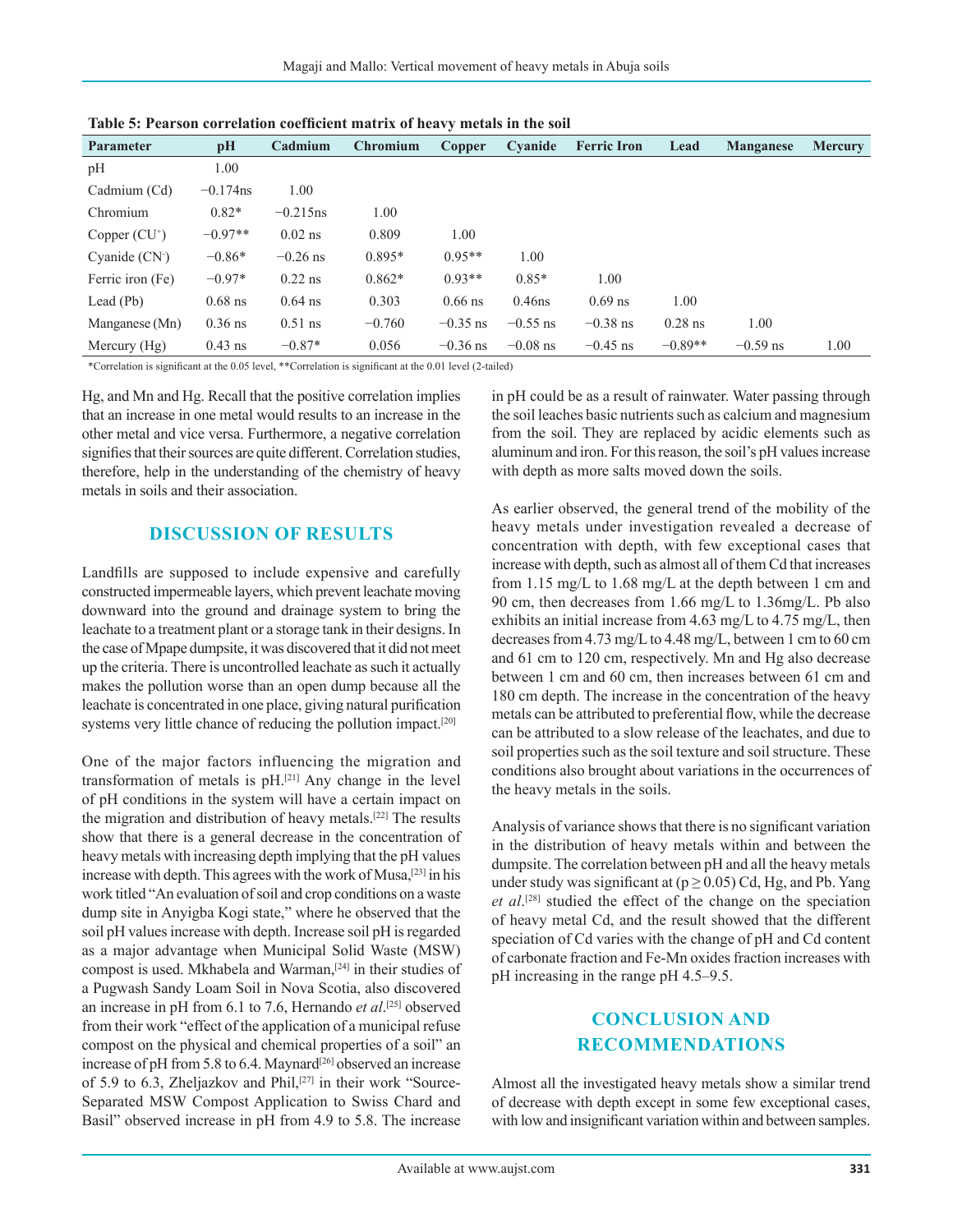| <b>Parameter</b> | pH          | Cadmium     | <b>Chromium</b> | Copper     | Cyanide    | <b>Ferric Iron</b> | Lead      | <b>Manganese</b> | <b>Mercury</b> |
|------------------|-------------|-------------|-----------------|------------|------------|--------------------|-----------|------------------|----------------|
| pH               | 1.00        |             |                 |            |            |                    |           |                  |                |
| Cadmium (Cd)     | $-0.174$ ns | 1.00        |                 |            |            |                    |           |                  |                |
| Chromium         | $0.82*$     | $-0.215$ ns | 1.00            |            |            |                    |           |                  |                |
| Copper $(CU^+)$  | $-0.97**$   | $0.02$ ns   | 0.809           | 1.00       |            |                    |           |                  |                |
| Cyanide $(CN2)$  | $-0.86*$    | $-0.26$ ns  | $0.895*$        | $0.95**$   | 1.00       |                    |           |                  |                |
| Ferric iron (Fe) | $-0.97*$    | $0.22$ ns   | $0.862*$        | $0.93**$   | $0.85*$    | 1.00               |           |                  |                |
| Lead $(Pb)$      | $0.68$ ns   | $0.64$ ns   | 0.303           | $0.66$ ns  | $0.46$ ns  | $0.69$ ns          | 1.00      |                  |                |
| Manganese (Mn)   | $0.36$ ns   | $0.51$ ns   | $-0.760$        | $-0.35$ ns | $-0.55$ ns | $-0.38$ ns         | $0.28$ ns | 1.00             |                |
| Mercury $(Hg)$   | $0.43$ ns   | $-0.87*$    | 0.056           | $-0.36$ ns | $-0.08$ ns | $-0.45$ ns         | $-0.89**$ | $-0.59$ ns       | 1.00           |

**Table 5: Pearson correlation coefficient matrix of heavy metals in the soil**

\*Correlation is significant at the 0.05 level, \*\*Correlation is significant at the 0.01 level (2‑tailed)

Hg, and Mn and Hg. Recall that the positive correlation implies that an increase in one metal would results to an increase in the other metal and vice versa. Furthermore, a negative correlation signifies that their sources are quite different. Correlation studies, therefore, help in the understanding of the chemistry of heavy metals in soils and their association.

#### **DISCUSSION OF RESULTS**

Landfills are supposed to include expensive and carefully constructed impermeable layers, which prevent leachate moving downward into the ground and drainage system to bring the leachate to a treatment plant or a storage tank in their designs. In the case of Mpape dumpsite, it was discovered that it did not meet up the criteria. There is uncontrolled leachate as such it actually makes the pollution worse than an open dump because all the leachate is concentrated in one place, giving natural purification systems very little chance of reducing the pollution impact.<sup>[20]</sup>

One of the major factors influencing the migration and transformation of metals is  $pH<sub>1</sub><sup>[21]</sup>$  Any change in the level of pH conditions in the system will have a certain impact on the migration and distribution of heavy metals.[22] The results show that there is a general decrease in the concentration of heavy metals with increasing depth implying that the pH values increase with depth. This agrees with the work of Musa,[23] in his work titled "An evaluation of soil and crop conditions on a waste dump site in Anyigba Kogi state," where he observed that the soil pH values increase with depth. Increase soil pH is regarded as a major advantage when Municipal Solid Waste (MSW) compost is used. Mkhabela and Warman,[24] in their studies of a Pugwash Sandy Loam Soil in Nova Scotia, also discovered an increase in pH from 6.1 to 7.6, Hernando *et al*. [25] observed from their work "effect of the application of a municipal refuse compost on the physical and chemical properties of a soil" an increase of pH from 5.8 to 6.4. Maynard<sup>[26]</sup> observed an increase of 5.9 to 6.3, Zheljazkov and Phil,[27] in their work "Source-Separated MSW Compost Application to Swiss Chard and Basil" observed increase in pH from 4.9 to 5.8. The increase

in pH could be as a result of rainwater. Water passing through the soil leaches basic nutrients such as calcium and magnesium from the soil. They are replaced by acidic elements such as aluminum and iron. For this reason, the soil's pH values increase with depth as more salts moved down the soils.

As earlier observed, the general trend of the mobility of the heavy metals under investigation revealed a decrease of concentration with depth, with few exceptional cases that increase with depth, such as almost all of them Cd that increases from 1.15 mg/L to 1.68 mg/L at the depth between 1 cm and 90 cm, then decreases from 1.66 mg/L to 1.36mg/L. Pb also exhibits an initial increase from 4.63 mg/L to 4.75 mg/L, then decreases from 4.73 mg/L to 4.48 mg/L, between 1 cm to 60 cm and 61 cm to 120 cm, respectively. Mn and Hg also decrease between 1 cm and 60 cm, then increases between 61 cm and 180 cm depth. The increase in the concentration of the heavy metals can be attributed to preferential flow, while the decrease can be attributed to a slow release of the leachates, and due to soil properties such as the soil texture and soil structure. These conditions also brought about variations in the occurrences of the heavy metals in the soils.

Analysis of variance shows that there is no significant variation in the distribution of heavy metals within and between the dumpsite. The correlation between pH and all the heavy metals under study was significant at ( $p \ge 0.05$ ) Cd, Hg, and Pb. Yang *et al*. [28] studied the effect of the change on the speciation of heavy metal Cd, and the result showed that the different speciation of Cd varies with the change of pH and Cd content of carbonate fraction and Fe-Mn oxides fraction increases with pH increasing in the range pH 4.5–9.5.

## **CONCLUSION AND RECOMMENDATIONS**

Almost all the investigated heavy metals show a similar trend of decrease with depth except in some few exceptional cases, with low and insignificant variation within and between samples.